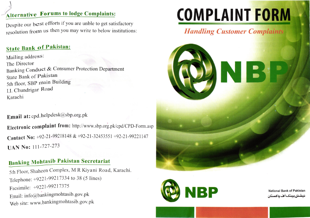# Alternative Forums to lodge Complaints:

Despite our best efforts if you are unble to get satisfactory resolution from us then you may write to below institutions:

# State Bank of Pakistan:

l

Mailing address: The Director Banking Conduct & Consumer Protection Department State Bank of Pakistan 5th floor, SBP main Building I.l. Chundrigar Road Karachi

# Email at: cpd.helpdesk@sbp.org.pk

Electronic complaint from: http://www.sbp.org.pk/cpd/CPD-Form.asp Contact No: +92-21-99218148 & +92-21-32453551 +92-21-99221147 UAN No: 111-727-273

# Banking Mohtasib Pakistan Secretariat

5th Floor, Shaheen Complex, M R Kiyani Road, Karachi. Telephone: +9221:99217334 to 38 (5 Iines) Facsimile: +9221-99217375 Email: info@bankingmohtasib.gov.pk Web site: www.bankingmohtasib.gov.pk

# <u>COMPLAINT FO</u>

# **Handling Customer Complaints**